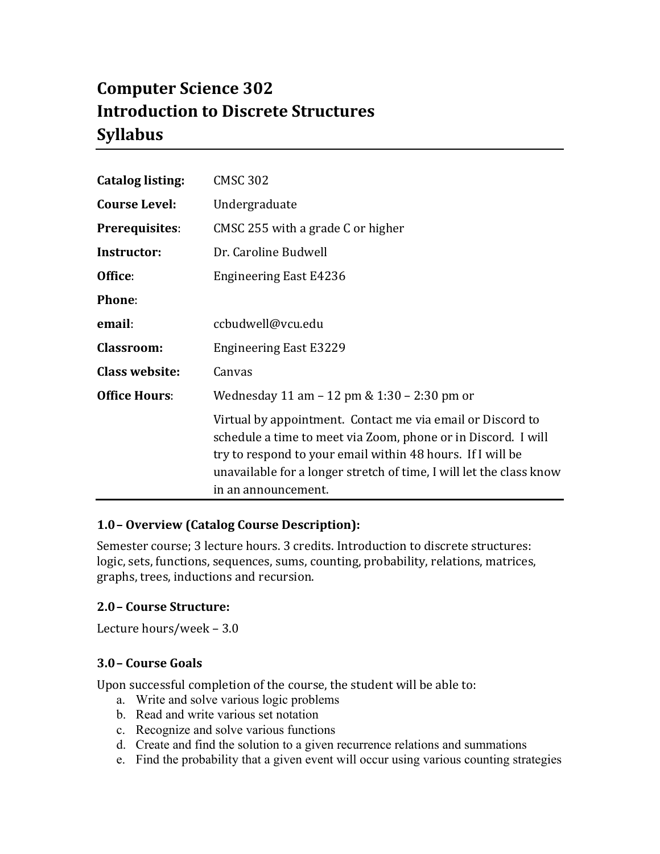# **Computer Science 302 Introduction to Discrete Structures Syllabus**

| <b>Catalog listing:</b> | <b>CMSC 302</b>                                                                                                                                                                                                                                                                         |
|-------------------------|-----------------------------------------------------------------------------------------------------------------------------------------------------------------------------------------------------------------------------------------------------------------------------------------|
| <b>Course Level:</b>    | Undergraduate                                                                                                                                                                                                                                                                           |
| <b>Prerequisites:</b>   | CMSC 255 with a grade C or higher                                                                                                                                                                                                                                                       |
| Instructor:             | Dr. Caroline Budwell                                                                                                                                                                                                                                                                    |
| Office:                 | <b>Engineering East E4236</b>                                                                                                                                                                                                                                                           |
| Phone:                  |                                                                                                                                                                                                                                                                                         |
| email:                  | ccbudwell@vcu.edu                                                                                                                                                                                                                                                                       |
| <b>Classroom:</b>       | <b>Engineering East E3229</b>                                                                                                                                                                                                                                                           |
| <b>Class website:</b>   | Canvas                                                                                                                                                                                                                                                                                  |
| <b>Office Hours:</b>    | Wednesday 11 am – 12 pm & 1:30 – 2:30 pm or                                                                                                                                                                                                                                             |
|                         | Virtual by appointment. Contact me via email or Discord to<br>schedule a time to meet via Zoom, phone or in Discord. I will<br>try to respond to your email within 48 hours. If I will be<br>unavailable for a longer stretch of time, I will let the class know<br>in an announcement. |

# **1.0– Overview (Catalog Course Description):**

Semester course; 3 lecture hours. 3 credits. Introduction to discrete structures: logic, sets, functions, sequences, sums, counting, probability, relations, matrices, graphs, trees, inductions and recursion.

#### **2.0– Course Structure:**

Lecture hours/week  $-3.0$ 

#### **3.0– Course Goals**

Upon successful completion of the course, the student will be able to:

- a. Write and solve various logic problems
- b. Read and write various set notation
- c. Recognize and solve various functions
- d. Create and find the solution to a given recurrence relations and summations
- e. Find the probability that a given event will occur using various counting strategies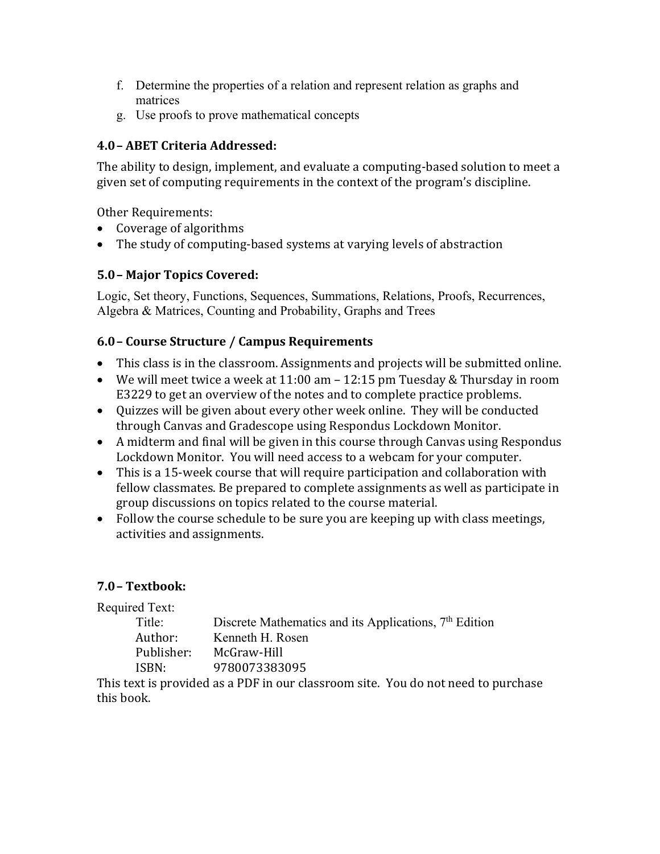- f. Determine the properties of a relation and represent relation as graphs and matrices
- g. Use proofs to prove mathematical concepts

# **4.0– ABET Criteria Addressed:**

The ability to design, implement, and evaluate a computing-based solution to meet a given set of computing requirements in the context of the program's discipline.

Other Requirements:

- Coverage of algorithms
- The study of computing-based systems at varying levels of abstraction

# **5.0– Major Topics Covered:**

Logic, Set theory, Functions, Sequences, Summations, Relations, Proofs, Recurrences, Algebra & Matrices, Counting and Probability, Graphs and Trees

# **6.0– Course Structure / Campus Requirements**

- This class is in the classroom. Assignments and projects will be submitted online.
- We will meet twice a week at  $11:00$  am  $-12:15$  pm Tuesday & Thursday in room E3229 to get an overview of the notes and to complete practice problems.
- Quizzes will be given about every other week online. They will be conducted through Canvas and Gradescope using Respondus Lockdown Monitor.
- A midterm and final will be given in this course through Canvas using Respondus Lockdown Monitor. You will need access to a webcam for your computer.
- This is a 15-week course that will require participation and collaboration with fellow classmates. Be prepared to complete assignments as well as participate in group discussions on topics related to the course material.
- Follow the course schedule to be sure you are keeping up with class meetings, activities and assignments.

# **7.0– Textbook:**

Required Text: Title: Discrete Mathematics and its Applications, 7<sup>th</sup> Edition Author: Kenneth H. Rosen Publisher: McGraw-Hill ISBN: 9780073383095

This text is provided as a PDF in our classroom site. You do not need to purchase this book.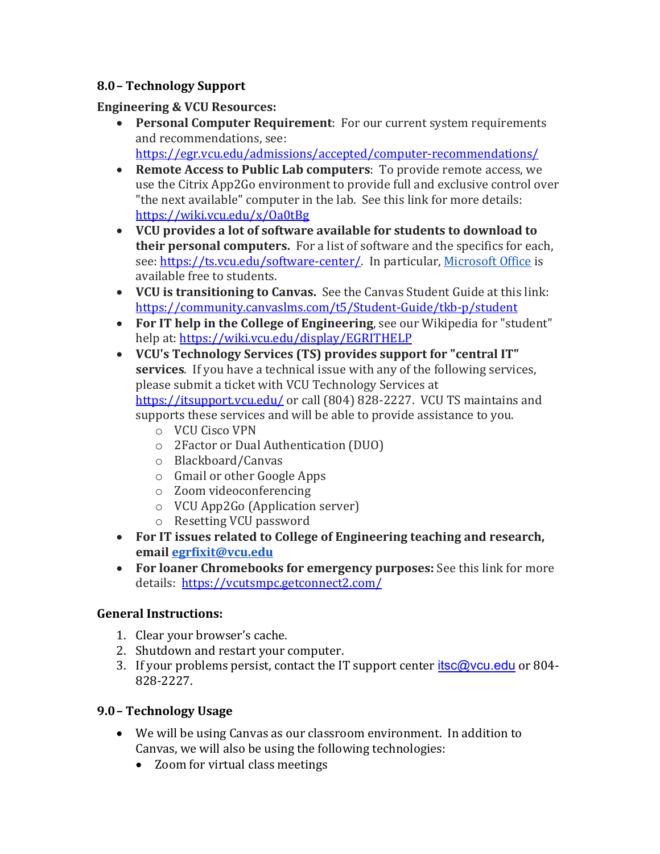# **8.0– Technology Support**

## **Engineering & VCU Resources:**

- **Personal Computer Requirement**: For our current system requirements and recommendations, see: https://egr.vcu.edu/admissions/accepted/computer-recommendations/
- Remote Access to Public Lab computers: To provide remote access, we use the Citrix App2Go environment to provide full and exclusive control over "the next available" computer in the lab. See this link for more details: https://wiki.vcu.edu/x/Oa0tBg
- VCU provides a lot of software available for students to download to **their personal computers.** For a list of software and the specifics for each, see: https://ts.vcu.edu/software-center/. In particular, Microsoft Office is available free to students.
- **VCU** is transitioning to Canvas. See the Canvas Student Guide at this link: https://community.canvaslms.com/t5/Student-Guide/tkb-p/student
- For IT help in the College of Engineering, see our Wikipedia for "student" help at: https://wiki.vcu.edu/display/EGRITHELP
- VCU's Technology Services (TS) provides support for "central IT" **services**. If you have a technical issue with any of the following services, please submit a ticket with VCU Technology Services at https://itsupport.vcu.edu/ or call (804) 828-2227. VCU TS maintains and supports these services and will be able to provide assistance to you.
	- o VCU Cisco VPN
	- o 2Factor or Dual Authentication (DUO)
	- o Blackboard/Canvas
	- $\circ$  Gmail or other Google Apps
	- o Zoom videoconferencing
	- $\circ$  VCU App2Go (Application server)
	- o Resetting VCU password
- For IT issues related to College of Engineering teaching and research, **email egrfixit@vcu.edu**
- For loaner Chromebooks for emergency purposes: See this link for more details: https://vcutsmpc.getconnect2.com/

# **General Instructions:**

- 1. Clear your browser's cache.
- 2. Shutdown and restart your computer.
- 3. If your problems persist, contact the IT support center  $itsc@vcu.edu$  or 804-828-2227.

# **9.0– Technology Usage**

- We will be using Canvas as our classroom environment. In addition to Canvas, we will also be using the following technologies:
	- Zoom for virtual class meetings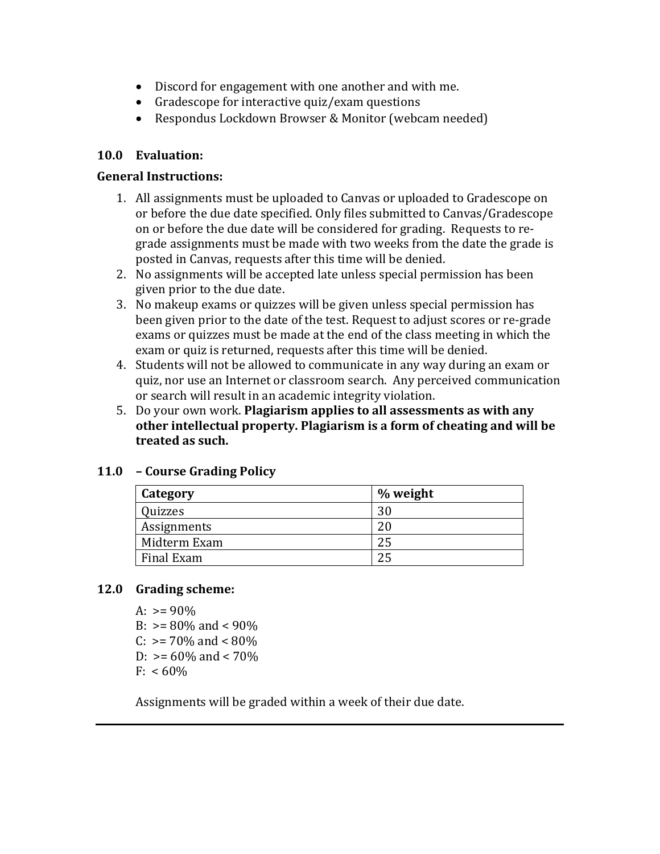- Discord for engagement with one another and with me.
- Gradescope for interactive quiz/exam questions
- Respondus Lockdown Browser & Monitor (webcam needed)

#### **10.0 Evaluation:**

#### **General Instructions:**

- 1. All assignments must be uploaded to Canvas or uploaded to Gradescope on or before the due date specified. Only files submitted to Canvas/Gradescope on or before the due date will be considered for grading. Requests to regrade assignments must be made with two weeks from the date the grade is posted in Canvas, requests after this time will be denied.
- 2. No assignments will be accepted late unless special permission has been given prior to the due date.
- 3. No makeup exams or quizzes will be given unless special permission has been given prior to the date of the test. Request to adjust scores or re-grade exams or quizzes must be made at the end of the class meeting in which the exam or quiz is returned, requests after this time will be denied.
- 4. Students will not be allowed to communicate in any way during an exam or quiz, nor use an Internet or classroom search. Any perceived communication or search will result in an academic integrity violation.
- 5. Do your own work. **Plagiarism applies to all assessments as with any other intellectual property. Plagiarism is a form of cheating and will be** treated as such.

#### **11.0 – Course Grading Policy**

| Category     | % weight |
|--------------|----------|
| Quizzes      | 30       |
| Assignments  | 20       |
| Midterm Exam | 25       |
| Final Exam   | 25       |

#### **12.0 Grading scheme:**

- A:  $> = 90\%$
- B:  $> = 80\%$  and  $< 90\%$
- C:  $> = 70\%$  and  $< 80\%$
- D:  $> = 60\%$  and  $< 70\%$
- $F: < 60\%$

Assignments will be graded within a week of their due date.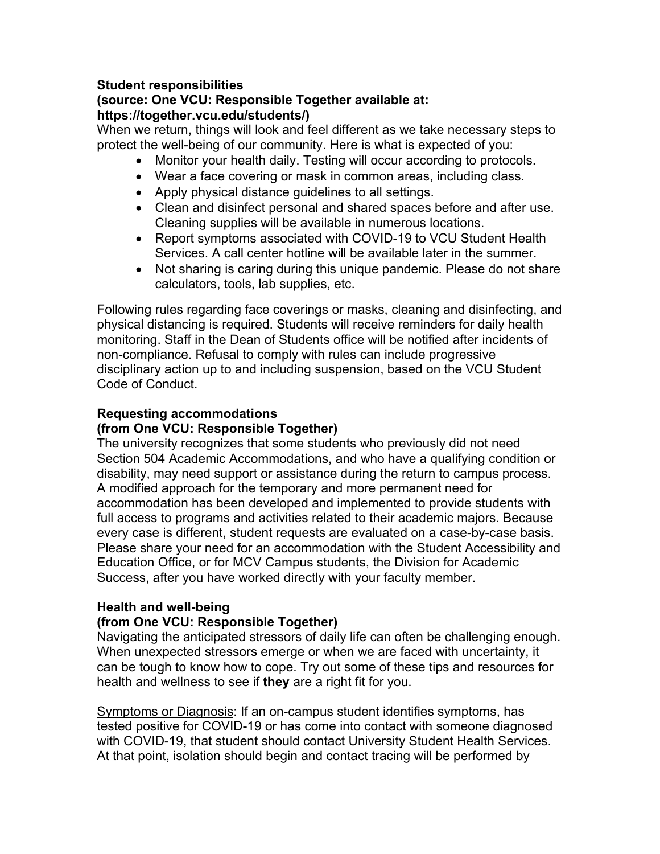#### **Student responsibilities (source: One VCU: Responsible Together available at: https://together.vcu.edu/students/)**

When we return, things will look and feel different as we take necessary steps to protect the well-being of our community. Here is what is expected of you:

- Monitor your health daily. Testing will occur according to protocols.
- Wear a face covering or mask in common areas, including class.
- Apply physical distance guidelines to all settings.
- Clean and disinfect personal and shared spaces before and after use. Cleaning supplies will be available in numerous locations.
- Report symptoms associated with COVID-19 to VCU Student Health Services. A call center hotline will be available later in the summer.
- Not sharing is caring during this unique pandemic. Please do not share calculators, tools, lab supplies, etc.

Following rules regarding face coverings or masks, cleaning and disinfecting, and physical distancing is required. Students will receive reminders for daily health monitoring. Staff in the Dean of Students office will be notified after incidents of non-compliance. Refusal to comply with rules can include progressive disciplinary action up to and including suspension, based on the VCU Student Code of Conduct.

## **Requesting accommodations**

#### **(from One VCU: Responsible Together)**

The university recognizes that some students who previously did not need Section 504 Academic Accommodations, and who have a qualifying condition or disability, may need support or assistance during the return to campus process. A modified approach for the temporary and more permanent need for accommodation has been developed and implemented to provide students with full access to programs and activities related to their academic majors. Because every case is different, student requests are evaluated on a case-by-case basis. Please share your need for an accommodation with the Student Accessibility and Education Office, or for MCV Campus students, the Division for Academic Success, after you have worked directly with your faculty member.

#### **Health and well-being**

#### **(from One VCU: Responsible Together)**

Navigating the anticipated stressors of daily life can often be challenging enough. When unexpected stressors emerge or when we are faced with uncertainty, it can be tough to know how to cope. Try out some of these tips and resources for health and wellness to see if **they** are a right fit for you.

Symptoms or Diagnosis: If an on-campus student identifies symptoms, has tested positive for COVID-19 or has come into contact with someone diagnosed with COVID-19, that student should contact University Student Health Services. At that point, isolation should begin and contact tracing will be performed by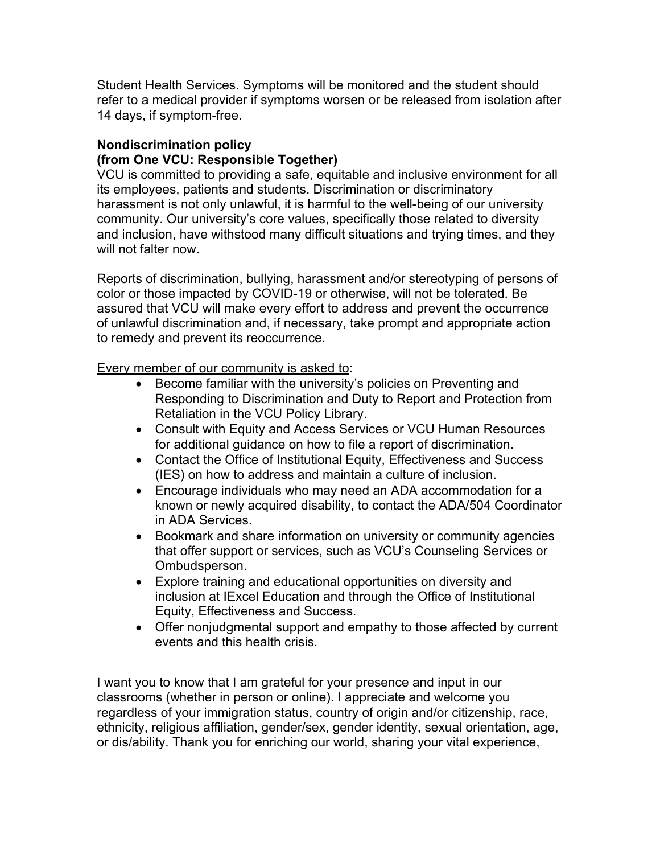Student Health Services. Symptoms will be monitored and the student should refer to a medical provider if symptoms worsen or be released from isolation after 14 days, if symptom-free.

#### **Nondiscrimination policy (from One VCU: Responsible Together)**

VCU is committed to providing a safe, equitable and inclusive environment for all its employees, patients and students. Discrimination or discriminatory harassment is not only unlawful, it is harmful to the well-being of our university community. Our university's core values, specifically those related to diversity and inclusion, have withstood many difficult situations and trying times, and they will not falter now.

Reports of discrimination, bullying, harassment and/or stereotyping of persons of color or those impacted by COVID-19 or otherwise, will not be tolerated. Be assured that VCU will make every effort to address and prevent the occurrence of unlawful discrimination and, if necessary, take prompt and appropriate action to remedy and prevent its reoccurrence.

Every member of our community is asked to:

- Become familiar with the university's policies on Preventing and Responding to Discrimination and Duty to Report and Protection from Retaliation in the VCU Policy Library.
- Consult with Equity and Access Services or VCU Human Resources for additional guidance on how to file a report of discrimination.
- Contact the Office of Institutional Equity, Effectiveness and Success (IES) on how to address and maintain a culture of inclusion.
- Encourage individuals who may need an ADA accommodation for a known or newly acquired disability, to contact the ADA/504 Coordinator in ADA Services.
- Bookmark and share information on university or community agencies that offer support or services, such as VCU's Counseling Services or Ombudsperson.
- Explore training and educational opportunities on diversity and inclusion at IExcel Education and through the Office of Institutional Equity, Effectiveness and Success.
- Offer nonjudgmental support and empathy to those affected by current events and this health crisis.

I want you to know that I am grateful for your presence and input in our classrooms (whether in person or online). I appreciate and welcome you regardless of your immigration status, country of origin and/or citizenship, race, ethnicity, religious affiliation, gender/sex, gender identity, sexual orientation, age, or dis/ability. Thank you for enriching our world, sharing your vital experience,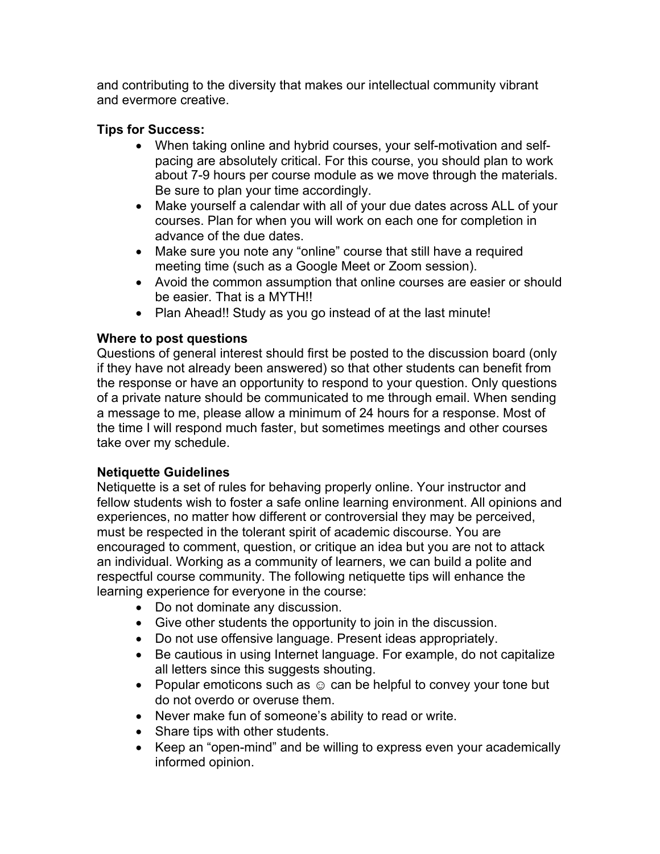and contributing to the diversity that makes our intellectual community vibrant and evermore creative.

#### **Tips for Success:**

- When taking online and hybrid courses, your self-motivation and selfpacing are absolutely critical. For this course, you should plan to work about 7-9 hours per course module as we move through the materials. Be sure to plan your time accordingly.
- Make yourself a calendar with all of your due dates across ALL of your courses. Plan for when you will work on each one for completion in advance of the due dates.
- Make sure you note any "online" course that still have a required meeting time (such as a Google Meet or Zoom session).
- Avoid the common assumption that online courses are easier or should be easier. That is a MYTH!!
- Plan Ahead!! Study as you go instead of at the last minute!

## **Where to post questions**

Questions of general interest should first be posted to the discussion board (only if they have not already been answered) so that other students can benefit from the response or have an opportunity to respond to your question. Only questions of a private nature should be communicated to me through email. When sending a message to me, please allow a minimum of 24 hours for a response. Most of the time I will respond much faster, but sometimes meetings and other courses take over my schedule.

# **Netiquette Guidelines**

Netiquette is a set of rules for behaving properly online. Your instructor and fellow students wish to foster a safe online learning environment. All opinions and experiences, no matter how different or controversial they may be perceived, must be respected in the tolerant spirit of academic discourse. You are encouraged to comment, question, or critique an idea but you are not to attack an individual. Working as a community of learners, we can build a polite and respectful course community. The following netiquette tips will enhance the learning experience for everyone in the course:

- Do not dominate any discussion.
- Give other students the opportunity to join in the discussion.
- Do not use offensive language. Present ideas appropriately.
- Be cautious in using Internet language. For example, do not capitalize all letters since this suggests shouting.
- Popular emoticons such as  $\odot$  can be helpful to convey your tone but do not overdo or overuse them.
- Never make fun of someone's ability to read or write.
- Share tips with other students.
- Keep an "open-mind" and be willing to express even your academically informed opinion.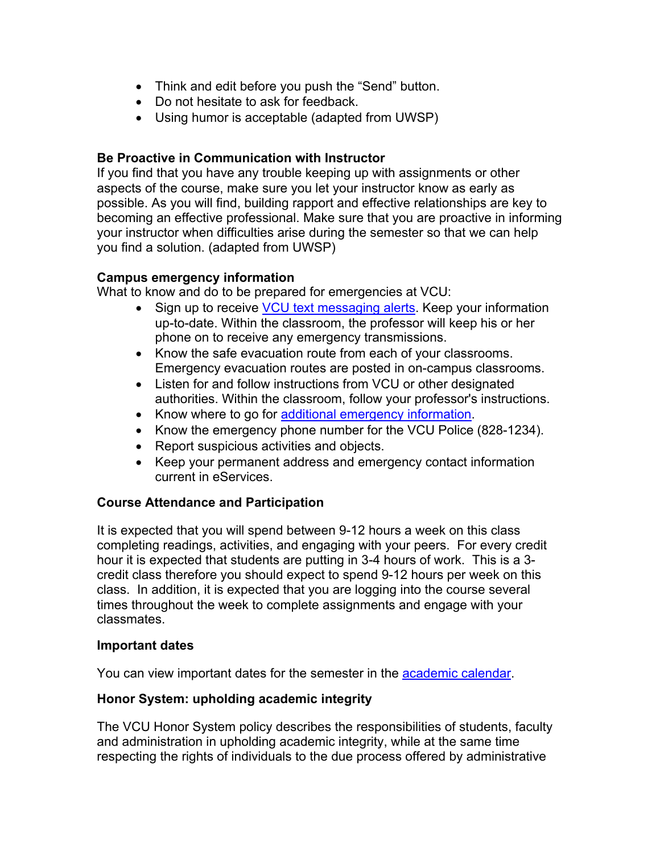- Think and edit before you push the "Send" button.
- Do not hesitate to ask for feedback.
- Using humor is acceptable (adapted from UWSP)

#### **Be Proactive in Communication with Instructor**

If you find that you have any trouble keeping up with assignments or other aspects of the course, make sure you let your instructor know as early as possible. As you will find, building rapport and effective relationships are key to becoming an effective professional. Make sure that you are proactive in informing your instructor when difficulties arise during the semester so that we can help you find a solution. (adapted from UWSP)

## **Campus emergency information**

What to know and do to be prepared for emergencies at VCU:

- Sign up to receive **VCU** text messaging alerts. Keep your information up-to-date. Within the classroom, the professor will keep his or her phone on to receive any emergency transmissions.
- Know the safe evacuation route from each of your classrooms. Emergency evacuation routes are posted in on-campus classrooms.
- Listen for and follow instructions from VCU or other designated authorities. Within the classroom, follow your professor's instructions.
- Know where to go for additional emergency information.
- Know the emergency phone number for the VCU Police (828-1234).
- Report suspicious activities and objects.
- Keep your permanent address and emergency contact information current in eServices.

#### **Course Attendance and Participation**

It is expected that you will spend between 9-12 hours a week on this class completing readings, activities, and engaging with your peers. For every credit hour it is expected that students are putting in 3-4 hours of work. This is a 3 credit class therefore you should expect to spend 9-12 hours per week on this class. In addition, it is expected that you are logging into the course several times throughout the week to complete assignments and engage with your classmates.

#### **Important dates**

You can view important dates for the semester in the academic calendar.

#### **Honor System: upholding academic integrity**

The VCU Honor System policy describes the responsibilities of students, faculty and administration in upholding academic integrity, while at the same time respecting the rights of individuals to the due process offered by administrative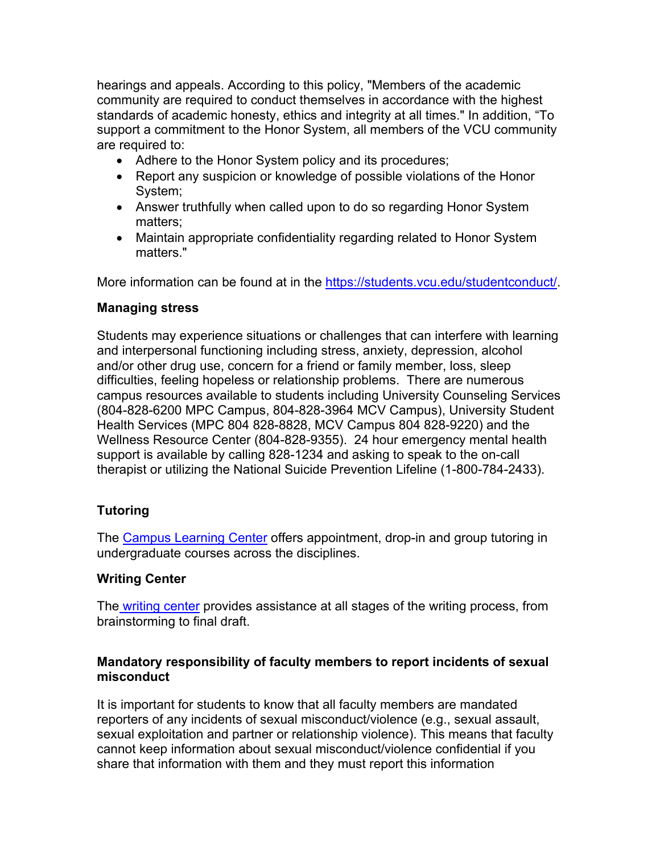hearings and appeals. According to this policy, "Members of the academic community are required to conduct themselves in accordance with the highest standards of academic honesty, ethics and integrity at all times." In addition, "To support a commitment to the Honor System, all members of the VCU community are required to:

- Adhere to the Honor System policy and its procedures;
- Report any suspicion or knowledge of possible violations of the Honor System;
- Answer truthfully when called upon to do so regarding Honor System matters;
- Maintain appropriate confidentiality regarding related to Honor System matters."

More information can be found at in the https://students.vcu.edu/studentconduct/.

#### **Managing stress**

Students may experience situations or challenges that can interfere with learning and interpersonal functioning including stress, anxiety, depression, alcohol and/or other drug use, concern for a friend or family member, loss, sleep difficulties, feeling hopeless or relationship problems. There are numerous campus resources available to students including University Counseling Services (804-828-6200 MPC Campus, 804-828-3964 MCV Campus), University Student Health Services (MPC 804 828-8828, MCV Campus 804 828-9220) and the Wellness Resource Center (804-828-9355). 24 hour emergency mental health support is available by calling 828-1234 and asking to speak to the on-call therapist or utilizing the National Suicide Prevention Lifeline (1-800-784-2433).

# **Tutoring**

The Campus Learning Center offers appointment, drop-in and group tutoring in undergraduate courses across the disciplines.

#### **Writing Center**

The writing center provides assistance at all stages of the writing process, from brainstorming to final draft.

## **Mandatory responsibility of faculty members to report incidents of sexual misconduct**

It is important for students to know that all faculty members are mandated reporters of any incidents of sexual misconduct/violence (e.g., sexual assault, sexual exploitation and partner or relationship violence). This means that faculty cannot keep information about sexual misconduct/violence confidential if you share that information with them and they must report this information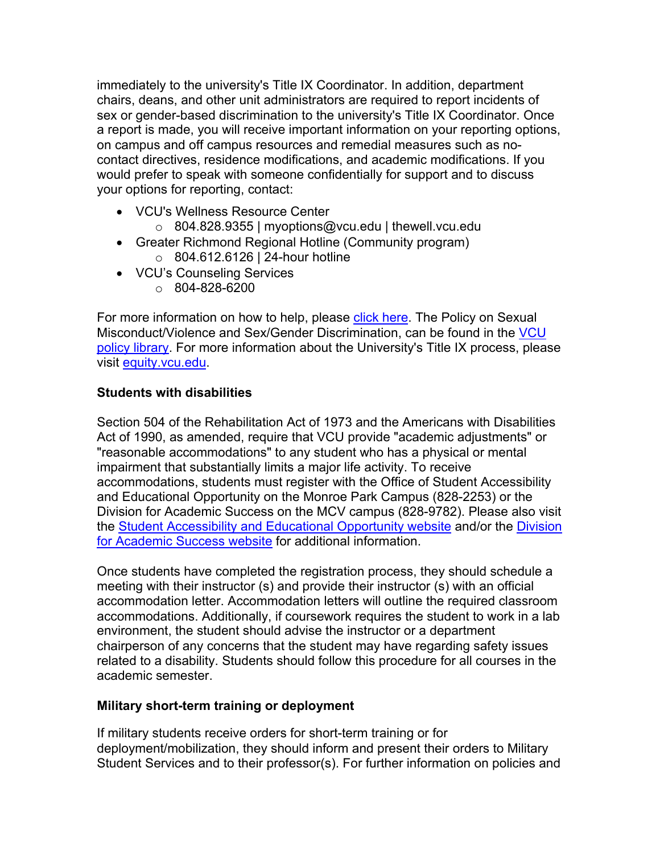immediately to the university's Title IX Coordinator. In addition, department chairs, deans, and other unit administrators are required to report incidents of sex or gender-based discrimination to the university's Title IX Coordinator. Once a report is made, you will receive important information on your reporting options, on campus and off campus resources and remedial measures such as nocontact directives, residence modifications, and academic modifications. If you would prefer to speak with someone confidentially for support and to discuss your options for reporting, contact:

- VCU's Wellness Resource Center
	- o 804.828.9355 | myoptions@vcu.edu | thewell.vcu.edu
- Greater Richmond Regional Hotline (Community program)
	- o 804.612.6126 | 24-hour hotline
- VCU's Counseling Services
	- $\circ$  804-828-6200

For more information on how to help, please click here. The Policy on Sexual Misconduct/Violence and Sex/Gender Discrimination, can be found in the VCU policy library. For more information about the University's Title IX process, please visit equity.vcu.edu.

## **Students with disabilities**

Section 504 of the Rehabilitation Act of 1973 and the Americans with Disabilities Act of 1990, as amended, require that VCU provide "academic adjustments" or "reasonable accommodations" to any student who has a physical or mental impairment that substantially limits a major life activity. To receive accommodations, students must register with the Office of Student Accessibility and Educational Opportunity on the Monroe Park Campus (828-2253) or the Division for Academic Success on the MCV campus (828-9782). Please also visit the Student Accessibility and Educational Opportunity website and/or the Division for Academic Success website for additional information.

Once students have completed the registration process, they should schedule a meeting with their instructor (s) and provide their instructor (s) with an official accommodation letter. Accommodation letters will outline the required classroom accommodations. Additionally, if coursework requires the student to work in a lab environment, the student should advise the instructor or a department chairperson of any concerns that the student may have regarding safety issues related to a disability. Students should follow this procedure for all courses in the academic semester.

# **Military short-term training or deployment**

If military students receive orders for short-term training or for deployment/mobilization, they should inform and present their orders to Military Student Services and to their professor(s). For further information on policies and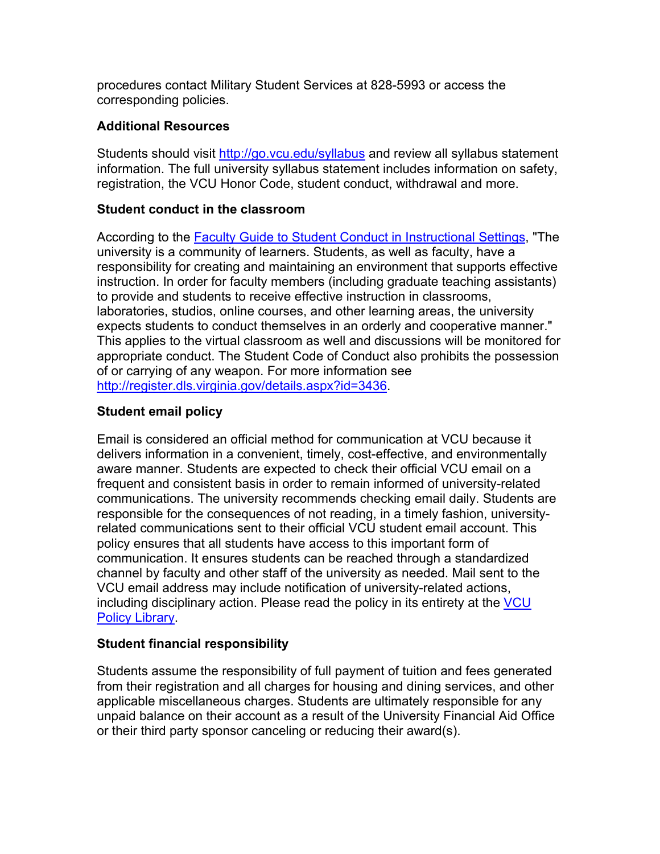procedures contact Military Student Services at 828-5993 or access the corresponding policies.

#### **Additional Resources**

Students should visit http://go.vcu.edu/syllabus and review all syllabus statement information. The full university syllabus statement includes information on safety, registration, the VCU Honor Code, student conduct, withdrawal and more.

#### **Student conduct in the classroom**

According to the Faculty Guide to Student Conduct in Instructional Settings, "The university is a community of learners. Students, as well as faculty, have a responsibility for creating and maintaining an environment that supports effective instruction. In order for faculty members (including graduate teaching assistants) to provide and students to receive effective instruction in classrooms, laboratories, studios, online courses, and other learning areas, the university expects students to conduct themselves in an orderly and cooperative manner." This applies to the virtual classroom as well and discussions will be monitored for appropriate conduct. The Student Code of Conduct also prohibits the possession of or carrying of any weapon. For more information see http://register.dls.virginia.gov/details.aspx?id=3436.

## **Student email policy**

Email is considered an official method for communication at VCU because it delivers information in a convenient, timely, cost-effective, and environmentally aware manner. Students are expected to check their official VCU email on a frequent and consistent basis in order to remain informed of university-related communications. The university recommends checking email daily. Students are responsible for the consequences of not reading, in a timely fashion, universityrelated communications sent to their official VCU student email account. This policy ensures that all students have access to this important form of communication. It ensures students can be reached through a standardized channel by faculty and other staff of the university as needed. Mail sent to the VCU email address may include notification of university-related actions, including disciplinary action. Please read the policy in its entirety at the VCU Policy Library.

#### **Student financial responsibility**

Students assume the responsibility of full payment of tuition and fees generated from their registration and all charges for housing and dining services, and other applicable miscellaneous charges. Students are ultimately responsible for any unpaid balance on their account as a result of the University Financial Aid Office or their third party sponsor canceling or reducing their award(s).